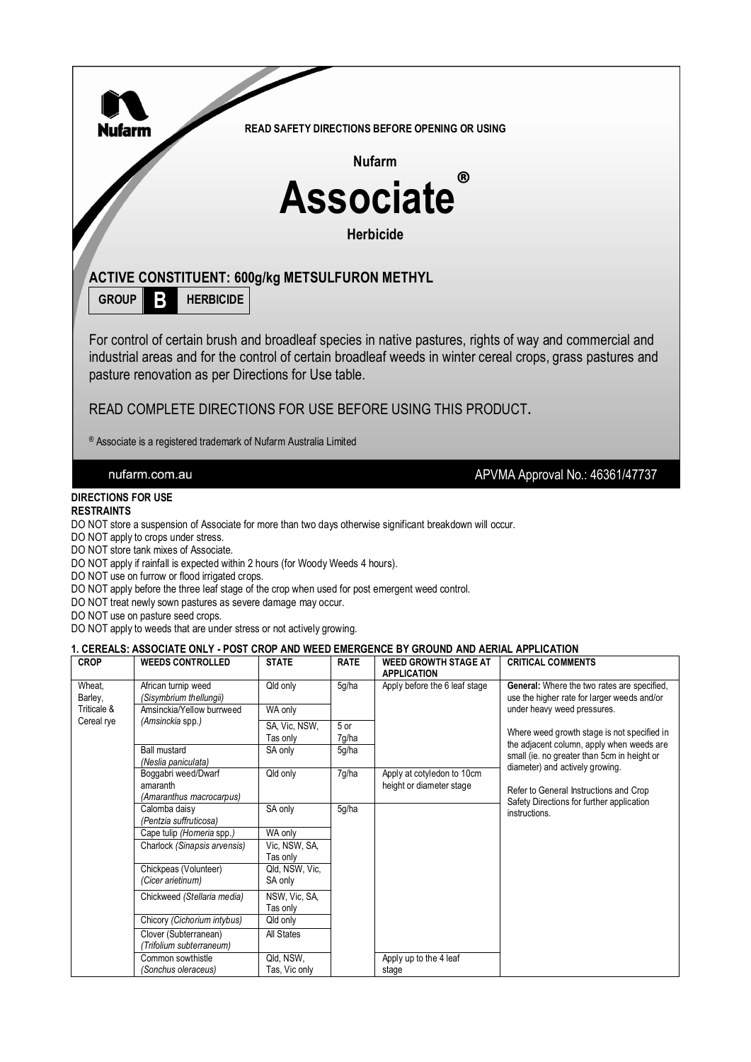

DO NOT store tank mixes of Associate.

DO NOT apply if rainfall is expected within 2 hours (for Woody Weeds 4 hours).

DO NOT use on furrow or flood irrigated crops.

DO NOT apply before the three leaf stage of the crop when used for post emergent weed control.

DO NOT treat newly sown pastures as severe damage may occur.

DO NOT use on pasture seed crops.

DO NOT apply to weeds that are under stress or not actively growing.

#### **1. CEREALS: ASSOCIATE ONLY - POST CROP AND WEED EMERGENCE BY GROUND AND AERIAL APPLICATION**

| <b>CROP</b>       | <b>WEEDS CONTROLLED</b>                                     | <b>STATE</b>              | <b>RATE</b>   | <b>WEED GROWTH STAGE AT</b><br><b>APPLICATION</b>      | <b>CRITICAL COMMENTS</b>                                                                          |
|-------------------|-------------------------------------------------------------|---------------------------|---------------|--------------------------------------------------------|---------------------------------------------------------------------------------------------------|
| Wheat,<br>Barley, | African turnip weed<br>(Sisymbrium thellungii)              | Qld only                  | 5g/ha         | Apply before the 6 leaf stage                          | <b>General:</b> Where the two rates are specified,<br>use the higher rate for larger weeds and/or |
| Triticale &       | Amsinckia/Yellow burrweed                                   | WA only                   |               |                                                        | under heavy weed pressures.                                                                       |
| Cereal rye        | (Amsinckia spp.)                                            | SA, Vic, NSW,<br>Tas only | 5 or<br>7g/ha |                                                        | Where weed growth stage is not specified in<br>the adjacent column, apply when weeds are          |
|                   | <b>Ball mustard</b><br>(Neslia paniculata)                  | SA only                   | 5g/ha         |                                                        | small (ie. no greater than 5cm in height or<br>diameter) and actively growing.                    |
|                   | Boggabri weed/Dwarf<br>amaranth<br>(Amaranthus macrocarpus) | Qld only                  | 7g/ha         | Apply at cotyledon to 10cm<br>height or diameter stage | Refer to General Instructions and Crop<br>Safety Directions for further application               |
|                   | Calomba daisy<br>(Pentzia suffruticosa)                     | SA only                   | 5g/ha         |                                                        | instructions.                                                                                     |
|                   | Cape tulip (Homeria spp.)                                   | WA only                   |               |                                                        |                                                                                                   |
|                   | Charlock (Sinapsis arvensis)                                | Vic. NSW, SA,<br>Tas only |               |                                                        |                                                                                                   |
|                   | Chickpeas (Volunteer)<br>(Cicer arietinum)                  | Qld, NSW, Vic.<br>SA only |               |                                                        |                                                                                                   |
|                   | Chickweed (Stellaria media)                                 | NSW, Vic, SA,<br>Tas only |               |                                                        |                                                                                                   |
|                   | Chicory (Cichorium intybus)                                 | Qld only                  |               |                                                        |                                                                                                   |
|                   | Clover (Subterranean)<br>(Trifolium subterraneum)           | All States                |               |                                                        |                                                                                                   |
|                   | Common sowthistle                                           | Qld, NSW,                 |               | Apply up to the 4 leaf                                 |                                                                                                   |
|                   | (Sonchus oleraceus)                                         | Tas, Vic only             |               | stage                                                  |                                                                                                   |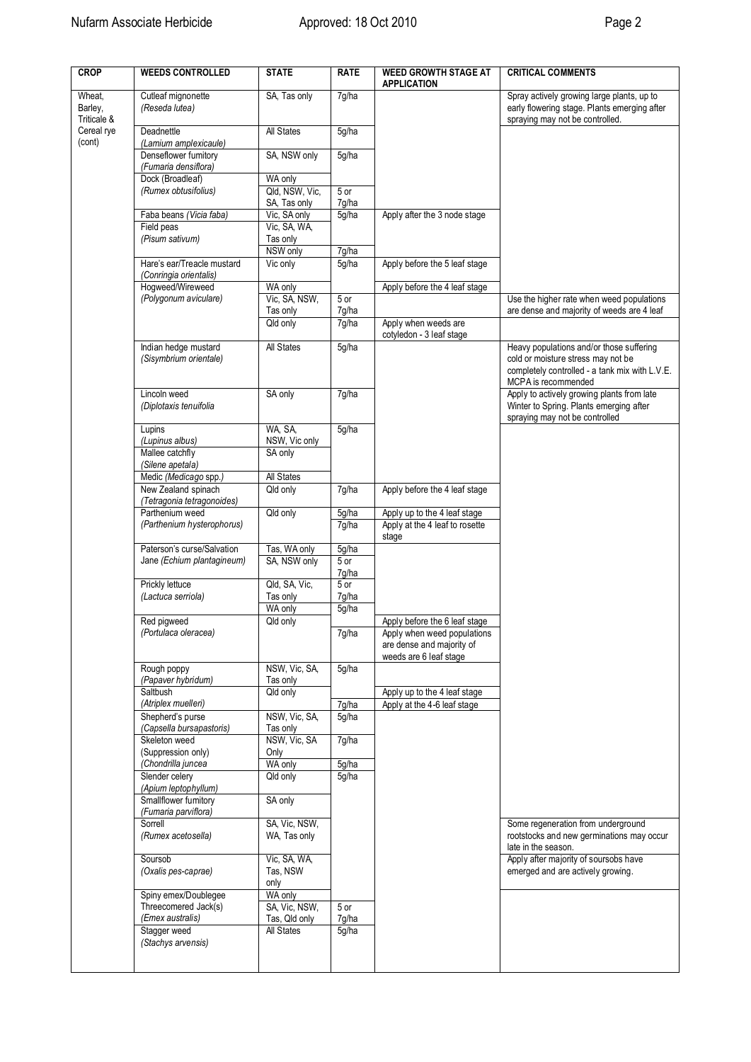| <b>CROP</b>                      | <b>WEEDS CONTROLLED</b>                                              | <b>STATE</b>                                 | <b>RATE</b>            | <b>WEED GROWTH STAGE AT</b><br><b>APPLICATION</b>                                  | <b>CRITICAL COMMENTS</b>                                                                                                                                |
|----------------------------------|----------------------------------------------------------------------|----------------------------------------------|------------------------|------------------------------------------------------------------------------------|---------------------------------------------------------------------------------------------------------------------------------------------------------|
| Wheat,<br>Barley,<br>Triticale & | Cutleaf mignonette<br>(Reseda lutea)                                 | SA, Tas only                                 | 7g/ha                  |                                                                                    | Spray actively growing large plants, up to<br>early flowering stage. Plants emerging after<br>spraying may not be controlled.                           |
| Cereal rye<br>(cont)             | Deadnettle<br>(Lamium amplexicaule)                                  | All States                                   | 5g/ha                  |                                                                                    |                                                                                                                                                         |
|                                  | Denseflower fumitory<br>(Fumaria densiflora)<br>Dock (Broadleaf)     | SA, NSW only<br>WA only                      | 5g/ha                  |                                                                                    |                                                                                                                                                         |
|                                  | (Rumex obtusifolius)                                                 | Qld, NSW, Vic,<br>SA, Tas only               | 5 or<br>7g/ha          |                                                                                    |                                                                                                                                                         |
|                                  | Faba beans (Vicia faba)<br>Field peas                                | Vic, SA only<br>Vic, SA, WA,                 | 5g/ha                  | Apply after the 3 node stage                                                       |                                                                                                                                                         |
|                                  | (Pisum sativum)                                                      | Tas only<br>NSW only                         | 7g/ha                  |                                                                                    |                                                                                                                                                         |
|                                  | Hare's ear/Treacle mustard                                           | Vic only                                     | 5g/ha                  | Apply before the 5 leaf stage                                                      |                                                                                                                                                         |
|                                  | (Conringia orientalis)<br>Hogweed/Wireweed                           | WA only                                      |                        | Apply before the 4 leaf stage                                                      |                                                                                                                                                         |
|                                  | (Polygonum aviculare)                                                | Vic, SA, NSW,<br>Tas only                    | 5 or<br>7g/ha          |                                                                                    | Use the higher rate when weed populations<br>are dense and majority of weeds are 4 leaf                                                                 |
|                                  |                                                                      | Qld only                                     | 7g/ha                  | Apply when weeds are<br>cotyledon - 3 leaf stage                                   |                                                                                                                                                         |
|                                  | Indian hedge mustard<br>(Sisymbrium orientale)                       | All States                                   | 5g/ha                  |                                                                                    | Heavy populations and/or those suffering<br>cold or moisture stress may not be<br>completely controlled - a tank mix with L.V.E.<br>MCPA is recommended |
|                                  | Lincoln weed<br>(Diplotaxis tenuifolia                               | SA only                                      | 7g/ha                  |                                                                                    | Apply to actively growing plants from late<br>Winter to Spring. Plants emerging after<br>spraying may not be controlled                                 |
|                                  | Lupins                                                               | WA. SA.                                      | 5g/ha                  |                                                                                    |                                                                                                                                                         |
|                                  | (Lupinus albus)<br>Mallee catchfly                                   | NSW, Vic only<br>SA only                     |                        |                                                                                    |                                                                                                                                                         |
|                                  | (Silene apetala)<br>Medic (Medicago spp.)                            | All States                                   |                        |                                                                                    |                                                                                                                                                         |
|                                  | New Zealand spinach<br>(Tetragonia tetragonoides)                    | Qld only                                     | 7g/ha                  | Apply before the 4 leaf stage                                                      |                                                                                                                                                         |
|                                  | Parthenium weed<br>(Parthenium hysterophorus)                        | Qld only                                     | 5g/ha<br>7g/ha         | Apply up to the 4 leaf stage<br>Apply at the 4 leaf to rosette<br>stage            |                                                                                                                                                         |
|                                  | Paterson's curse/Salvation                                           | Tas, WA only                                 | 5g/ha                  |                                                                                    |                                                                                                                                                         |
|                                  | Jane (Echium plantagineum)                                           | SA, NSW only                                 | 5 or<br>7g/ha          |                                                                                    |                                                                                                                                                         |
|                                  | Prickly lettuce                                                      | Qld, SA, Vic,                                | 5 or                   |                                                                                    |                                                                                                                                                         |
|                                  | (Lactuca serriola)                                                   | Tas only<br>WA only                          | 7g/ha<br>5g/ha         |                                                                                    |                                                                                                                                                         |
|                                  | Red pigweed                                                          | Qld only                                     |                        | Apply before the 6 leaf stage                                                      |                                                                                                                                                         |
|                                  | (Portulaca oleracea)                                                 |                                              | 7g/ha                  | Apply when weed populations<br>are dense and majority of<br>weeds are 6 leaf stage |                                                                                                                                                         |
|                                  | Rough poppy<br>(Papaver hybridum)                                    | NSW, Vic, SA,<br>Tas only                    | 5g/ha                  |                                                                                    |                                                                                                                                                         |
|                                  | Saltbush<br>(Atriplex muelleri)                                      | Qld only                                     | 7g/ha                  | Apply up to the 4 leaf stage<br>Apply at the 4-6 leaf stage                        |                                                                                                                                                         |
|                                  | Shepherd's purse                                                     | NSW, Vic, SA,                                | 5g/ha                  |                                                                                    |                                                                                                                                                         |
|                                  | (Capsella bursapastoris)<br>Skeleton weed                            | Tas only<br>NSW, Vic, SA                     | 7g/ha                  |                                                                                    |                                                                                                                                                         |
|                                  | (Suppression only)                                                   | Only                                         |                        |                                                                                    |                                                                                                                                                         |
|                                  | (Chondrilla juncea<br>Slender celery                                 | WA only<br>Qld only                          | 5g/ha<br>5g/ha         |                                                                                    |                                                                                                                                                         |
|                                  | (Apium leptophyllum)<br>Smallflower fumitory<br>(Fumaria parviflora) | SA only                                      |                        |                                                                                    |                                                                                                                                                         |
|                                  | Sorrell<br>(Rumex acetosella)                                        | SA, Vic, NSW,<br>WA, Tas only                |                        |                                                                                    | Some regeneration from underground<br>rootstocks and new germinations may occur<br>late in the season.                                                  |
|                                  | Soursob<br>(Oxalis pes-caprae)                                       | Vic, SA, WA,<br>Tas, NSW<br>only             |                        |                                                                                    | Apply after majority of soursobs have<br>emerged and are actively growing.                                                                              |
|                                  | Spiny emex/Doublegee<br>Threecomered Jack(s)                         | WA only                                      |                        |                                                                                    |                                                                                                                                                         |
|                                  | (Emex australis)<br>Stagger weed<br>(Stachys arvensis)               | SA, Vic, NSW,<br>Tas, Qld only<br>All States | 5 or<br>7g/ha<br>5g/ha |                                                                                    |                                                                                                                                                         |
|                                  |                                                                      |                                              |                        |                                                                                    |                                                                                                                                                         |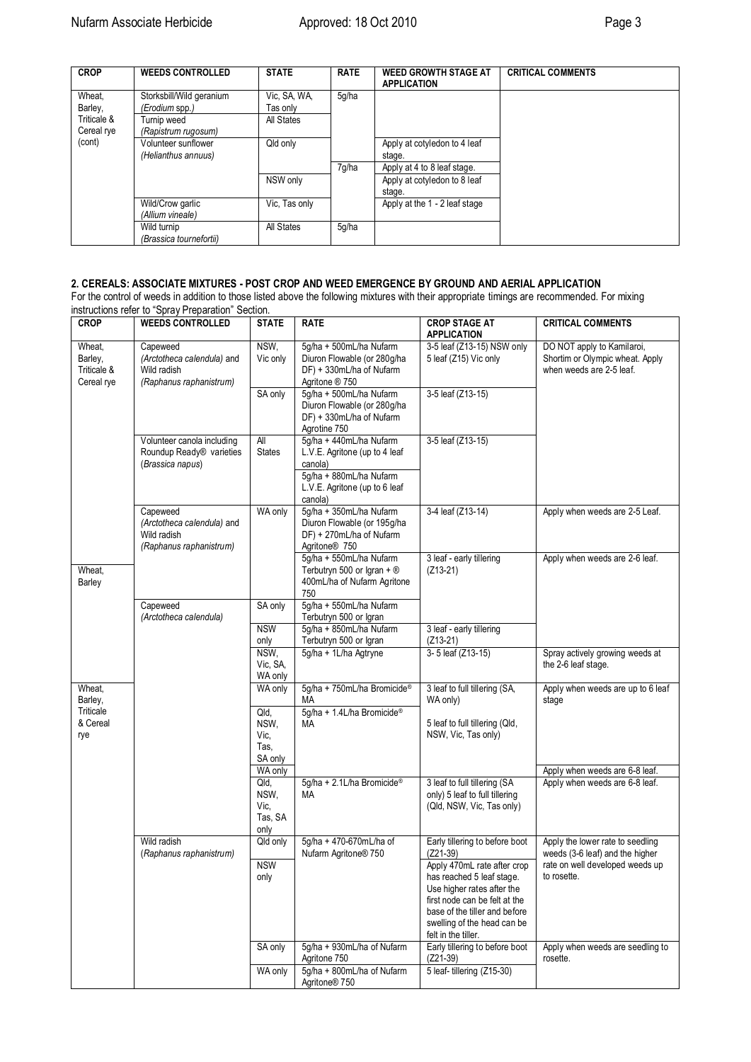| <b>CROP</b> | <b>WEEDS CONTROLLED</b>  | <b>STATE</b>  | <b>RATE</b> | <b>WEED GROWTH STAGE AT</b><br><b>APPLICATION</b> | <b>CRITICAL COMMENTS</b> |
|-------------|--------------------------|---------------|-------------|---------------------------------------------------|--------------------------|
| Wheat,      | Storksbill/Wild geranium | Vic. SA, WA,  | 5q/ha       |                                                   |                          |
| Barley,     | (Erodium spp.)           | Tas only      |             |                                                   |                          |
| Triticale & | Turnip weed              | All States    |             |                                                   |                          |
| Cereal rye  | (Rapistrum rugosum)      |               |             |                                                   |                          |
| (cont)      | Volunteer sunflower      | Qld only      |             | Apply at cotyledon to 4 leaf                      |                          |
|             | (Helianthus annuus)      |               |             | stage.                                            |                          |
|             |                          |               | 7q/ha       | Apply at 4 to 8 leaf stage.                       |                          |
|             |                          | NSW only      |             | Apply at cotyledon to 8 leaf                      |                          |
|             |                          |               |             | stage.                                            |                          |
|             | Wild/Crow garlic         | Vic, Tas only |             | Apply at the 1 - 2 leaf stage                     |                          |
|             | (Allium vineale)         |               |             |                                                   |                          |
|             | Wild turnip              | All States    | 5g/ha       |                                                   |                          |
|             | (Brassica tournefortii)  |               |             |                                                   |                          |

## **2. CEREALS: ASSOCIATE MIXTURES - POST CROP AND WEED EMERGENCE BY GROUND AND AERIAL APPLICATION**

For the control of weeds in addition to those listed above the following mixtures with their appropriate timings are recommended. For mixing instructions refer to "Spray Preparation" Section.

| <b>CROP</b>                                    | <b>WEEDS CONTROLLED</b>                                                          | <b>STATE</b>                               | <b>RATE</b>                                                                                                                                | <b>CROP STAGE AT</b><br><b>APPLICATION</b>                                                                                                                                                                                                                     | <b>CRITICAL COMMENTS</b>                                                                                              |
|------------------------------------------------|----------------------------------------------------------------------------------|--------------------------------------------|--------------------------------------------------------------------------------------------------------------------------------------------|----------------------------------------------------------------------------------------------------------------------------------------------------------------------------------------------------------------------------------------------------------------|-----------------------------------------------------------------------------------------------------------------------|
| Wheat,<br>Barley,<br>Triticale &<br>Cereal rye | Capeweed<br>(Arctotheca calendula) and<br>Wild radish<br>(Raphanus raphanistrum) | NSW,<br>Vic only                           | 5g/ha + 500mL/ha Nufarm<br>Diuron Flowable (or 280q/ha<br>DF) + 330mL/ha of Nufarm<br>Agritone ® 750                                       | 3-5 leaf (Z13-15) NSW only<br>5 leaf (Z15) Vic only                                                                                                                                                                                                            | DO NOT apply to Kamilaroi,<br>Shortim or Olympic wheat. Apply<br>when weeds are 2-5 leaf.                             |
|                                                |                                                                                  | SA only                                    | 5g/ha + 500mL/ha Nufarm<br>Diuron Flowable (or 280g/ha<br>DF) + 330mL/ha of Nufarm<br>Agrotine 750                                         | 3-5 leaf (Z13-15)                                                                                                                                                                                                                                              |                                                                                                                       |
|                                                | Volunteer canola including<br>Roundup Ready® varieties<br>(Brassica napus)       | All<br><b>States</b>                       | 5g/ha + 440mL/ha Nufarm<br>L.V.E. Agritone (up to 4 leaf<br>canola)<br>5g/ha + 880mL/ha Nufarm<br>L.V.E. Agritone (up to 6 leaf<br>canola) | 3-5 leaf (Z13-15)                                                                                                                                                                                                                                              |                                                                                                                       |
|                                                | Capeweed<br>(Arctotheca calendula) and<br>Wild radish<br>(Raphanus raphanistrum) | WA only                                    | 5g/ha + 350mL/ha Nufarm<br>Diuron Flowable (or 195g/ha<br>DF) + 270mL/ha of Nufarm<br>Agritone <sup>®</sup> 750                            | 3-4 leaf (Z13-14)                                                                                                                                                                                                                                              | Apply when weeds are 2-5 Leaf.                                                                                        |
| Wheat,<br>Barley                               |                                                                                  |                                            | 5g/ha + 550mL/ha Nufarm<br>Terbutryn 500 or Igran + $\circledR$<br>400mL/ha of Nufarm Agritone<br>750                                      | 3 leaf - early tillering<br>$(Z13-21)$                                                                                                                                                                                                                         | Apply when weeds are 2-6 leaf.                                                                                        |
|                                                | Capeweed<br>(Arctotheca calendula)                                               | SA only<br><b>NSW</b><br>only              | 5g/ha + 550mL/ha Nufarm<br>Terbutryn 500 or Igran<br>5g/ha + 850mL/ha Nufarm<br>Terbutryn 500 or Igran                                     | 3 leaf - early tillering<br>$(Z13-21)$                                                                                                                                                                                                                         |                                                                                                                       |
|                                                |                                                                                  | NSW,<br>Vic, SA,<br>WA only                | 5g/ha + 1L/ha Agtryne                                                                                                                      | 3-5 leaf (Z13-15)                                                                                                                                                                                                                                              | Spray actively growing weeds at<br>the 2-6 leaf stage.                                                                |
| Wheat,<br>Barley,<br>Triticale                 |                                                                                  | WA only<br>Qld,                            | 5g/ha + 750mL/ha Bromicide®<br>МA<br>5g/ha + 1.4L/ha Bromicide®                                                                            | 3 leaf to full tillering (SA,<br>WA only)                                                                                                                                                                                                                      | Apply when weeds are up to 6 leaf<br>stage                                                                            |
| & Cereal<br>rye                                |                                                                                  | NSW,<br>Vic,<br>Tas.<br>SA only<br>WA only | MA                                                                                                                                         | 5 leaf to full tillering (Qld,<br>NSW, Vic, Tas only)                                                                                                                                                                                                          | Apply when weeds are 6-8 leaf.                                                                                        |
|                                                |                                                                                  | Qld,<br>NSW,<br>Vic,<br>Tas, SA<br>only    | 5g/ha + 2.1L/ha Bromicide®<br>МA                                                                                                           | 3 leaf to full tillering (SA<br>only) 5 leaf to full tillering<br>(Qld, NSW, Vic, Tas only)                                                                                                                                                                    | Apply when weeds are 6-8 leaf.                                                                                        |
|                                                | Wild radish<br>(Raphanus raphanistrum)                                           | Qld only<br><b>NSW</b><br>only             | 5q/ha + 470-670mL/ha of<br>Nufarm Agritone® 750                                                                                            | Early tillering to before boot<br>$(Z21-39)$<br>Apply 470mL rate after crop<br>has reached 5 leaf stage.<br>Use higher rates after the<br>first node can be felt at the<br>base of the tiller and before<br>swelling of the head can be<br>felt in the tiller. | Apply the lower rate to seedling<br>weeds (3-6 leaf) and the higher<br>rate on well developed weeds up<br>to rosette. |
|                                                |                                                                                  | SA only<br>WA only                         | 5g/ha + 930mL/ha of Nufarm<br>Agritone 750<br>5g/ha + 800mL/ha of Nufarm                                                                   | Early tillering to before boot<br>$(Z21-39)$<br>5 leaf-tillering (Z15-30)                                                                                                                                                                                      | Apply when weeds are seedling to<br>rosette.                                                                          |
|                                                |                                                                                  |                                            | Agritone <sup>®</sup> 750                                                                                                                  |                                                                                                                                                                                                                                                                |                                                                                                                       |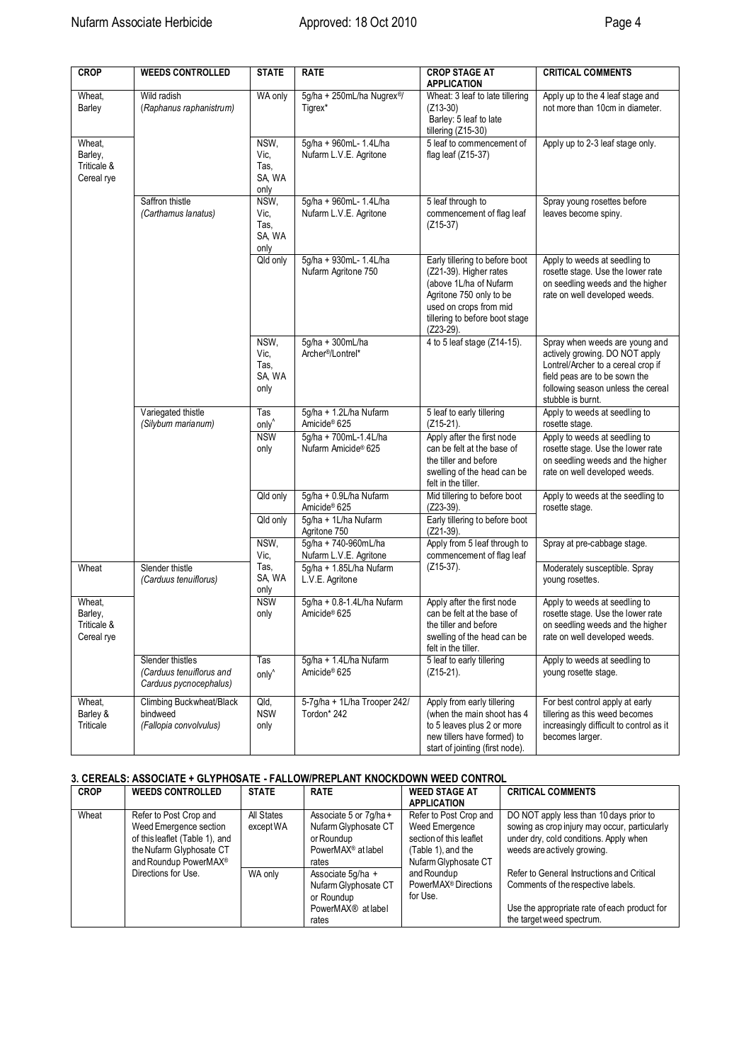| <b>CROP</b>                                    | <b>WEEDS CONTROLLED</b>                                                | <b>STATE</b>                           | <b>RATE</b>                                              | <b>CROP STAGE AT</b><br><b>APPLICATION</b>                                                                                                                                                | <b>CRITICAL COMMENTS</b>                                                                                                                                                                           |
|------------------------------------------------|------------------------------------------------------------------------|----------------------------------------|----------------------------------------------------------|-------------------------------------------------------------------------------------------------------------------------------------------------------------------------------------------|----------------------------------------------------------------------------------------------------------------------------------------------------------------------------------------------------|
| Wheat,<br>Barley                               | Wild radish<br>(Raphanus raphanistrum)                                 | WA only                                | 5g/ha + 250mL/ha Nugrex <sup>®/</sup><br>Tigrex*         | Wheat: 3 leaf to late tillering<br>$(Z13-30)$<br>Barley: 5 leaf to late<br>tillering (Z15-30)                                                                                             | Apply up to the 4 leaf stage and<br>not more than 10cm in diameter.                                                                                                                                |
| Wheat,<br>Barley,<br>Triticale &<br>Cereal rye |                                                                        | NSW,<br>Vic,<br>Tas,<br>SA, WA<br>only | 5g/ha + 960mL- 1.4L/ha<br>Nufarm L.V.E. Agritone         | 5 leaf to commencement of<br>flag leaf (Z15-37)                                                                                                                                           | Apply up to 2-3 leaf stage only.                                                                                                                                                                   |
|                                                | Saffron thistle<br>(Carthamus lanatus)                                 | NSW,<br>Vic,<br>Tas.<br>SA, WA<br>only | 5g/ha + 960mL- 1.4L/ha<br>Nufarm L.V.E. Agritone         | 5 leaf through to<br>commencement of flag leaf<br>$(Z15-37)$                                                                                                                              | Spray young rosettes before<br>leaves become spiny.                                                                                                                                                |
|                                                |                                                                        | Qld only                               | 5g/ha + 930mL- 1.4L/ha<br>Nufarm Agritone 750            | Early tillering to before boot<br>(Z21-39). Higher rates<br>(above 1L/ha of Nufarm<br>Agritone 750 only to be<br>used on crops from mid<br>tillering to before boot stage<br>$(Z23-29)$ . | Apply to weeds at seedling to<br>rosette stage. Use the lower rate<br>on seedling weeds and the higher<br>rate on well developed weeds.                                                            |
|                                                |                                                                        | NSW.<br>Vic,<br>Tas,<br>SA, WA<br>only | 5g/ha + 300mL/ha<br>Archer <sup>®</sup> /Lontrel*        | 4 to 5 leaf stage (Z14-15).                                                                                                                                                               | Spray when weeds are young and<br>actively growing. DO NOT apply<br>Lontrel/Archer to a cereal crop if<br>field peas are to be sown the<br>following season unless the cereal<br>stubble is burnt. |
|                                                | Variegated thistle<br>(Silybum marianum)                               | Tas<br>only <sup>^</sup>               | 5g/ha + 1.2L/ha Nufarm<br>Amicide <sup>®</sup> 625       | 5 leaf to early tillering<br>$(Z15-21)$ .                                                                                                                                                 | Apply to weeds at seedling to<br>rosette stage.                                                                                                                                                    |
|                                                |                                                                        | <b>NSW</b><br>only                     | 5q/ha + 700mL-1.4L/ha<br>Nufarm Amicide <sup>®</sup> 625 | Apply after the first node<br>can be felt at the base of<br>the tiller and before<br>swelling of the head can be<br>felt in the tiller.                                                   | Apply to weeds at seedling to<br>rosette stage. Use the lower rate<br>on seedling weeds and the higher<br>rate on well developed weeds.                                                            |
|                                                |                                                                        | Qld only                               | 5g/ha + 0.9L/ha Nufarm<br>Amicide <sup>®</sup> 625       | Mid tillering to before boot<br>$(Z23-39)$ .                                                                                                                                              | Apply to weeds at the seedling to<br>rosette stage.                                                                                                                                                |
|                                                |                                                                        | Qld only                               | 5g/ha + 1L/ha Nufarm<br>Agritone 750                     | Early tillering to before boot<br>$(Z21-39)$ .                                                                                                                                            |                                                                                                                                                                                                    |
|                                                |                                                                        | NSW,<br>Vic,                           | 5g/ha + 740-960mL/ha<br>Nufarm L.V.E. Agritone           | Apply from 5 leaf through to<br>commencement of flag leaf                                                                                                                                 | Spray at pre-cabbage stage.                                                                                                                                                                        |
| Wheat                                          | Slender thistle<br>(Carduus tenuiflorus)                               | Tas,<br>SA, WA<br>only                 | 5g/ha + 1.85L/ha Nufarm<br>L.V.E. Agritone               | $(Z15-37)$ .                                                                                                                                                                              | Moderately susceptible. Spray<br>young rosettes.                                                                                                                                                   |
| Wheat,<br>Barley,<br>Triticale &<br>Cereal rye |                                                                        | <b>NSW</b><br>only                     | 5g/ha + 0.8-1.4L/ha Nufarm<br>Amicide <sup>®</sup> 625   | Apply after the first node<br>can be felt at the base of<br>the tiller and before<br>swelling of the head can be<br>felt in the tiller.                                                   | Apply to weeds at seedling to<br>rosette stage. Use the lower rate<br>on seedling weeds and the higher<br>rate on well developed weeds.                                                            |
|                                                | Slender thistles<br>(Carduus tenuiflorus and<br>Carduus pycnocephalus) | Tas<br>only <sup>^</sup>               | 5q/ha + 1.4L/ha Nufarm<br>Amicide <sup>®</sup> 625       | 5 leaf to early tillering<br>$(Z15-21)$ .                                                                                                                                                 | Apply to weeds at seedling to<br>young rosette stage.                                                                                                                                              |
| Wheat,<br>Barley &<br>Triticale                | Climbing Buckwheat/Black<br>bindweed<br>(Fallopia convolvulus)         | Qld,<br><b>NSW</b><br>only             | 5-7g/ha + 1L/ha Trooper 242/<br>Tordon* 242              | Apply from early tillering<br>(when the main shoot has 4<br>to 5 leaves plus 2 or more<br>new tillers have formed) to<br>start of jointing (first node).                                  | For best control apply at early<br>tillering as this weed becomes<br>increasingly difficult to control as it<br>becomes larger.                                                                    |

# **3. CEREALS: ASSOCIATE + GLYPHOSATE - FALLOW/PREPLANT KNOCKDOWN WEED CONTROL**

| <b>CROP</b> | <b>WEEDS CONTROLLED</b>                                                                                                                             | <b>STATE</b>            | <b>RATE</b>                                                                                             | <b>WEED STAGE AT</b><br><b>APPLICATION</b>                                                                        | <b>CRITICAL COMMENTS</b>                                                                                                                                          |
|-------------|-----------------------------------------------------------------------------------------------------------------------------------------------------|-------------------------|---------------------------------------------------------------------------------------------------------|-------------------------------------------------------------------------------------------------------------------|-------------------------------------------------------------------------------------------------------------------------------------------------------------------|
| Wheat       | Refer to Post Crop and<br>Weed Emergence section<br>of this leaflet (Table 1), and<br>the Nufarm Glyphosate CT<br>and Roundup PowerMAX <sup>®</sup> | All States<br>except WA | Associate 5 or 7q/ha +<br>Nufarm Glyphosate CT<br>or Roundup<br>PowerMAX <sup>®</sup> at label<br>rates | Refer to Post Crop and<br>Weed Emergence<br>section of this leaflet<br>(Table 1), and the<br>Nufarm Glyphosate CT | DO NOT apply less than 10 days prior to<br>sowing as crop injury may occur, particularly<br>under dry, cold conditions. Apply when<br>weeds are actively growing. |
|             | Directions for Use.                                                                                                                                 | WA only                 | Associate 5q/ha +<br>Nufarm Glyphosate CT<br>or Roundup<br>PowerMAX <sup>®</sup> at label<br>rates      | and Roundup<br>PowerMAX <sup>®</sup> Directions<br>for Use.                                                       | Refer to General Instructions and Critical<br>Comments of the respective labels.<br>Use the appropriate rate of each product for<br>the target weed spectrum.     |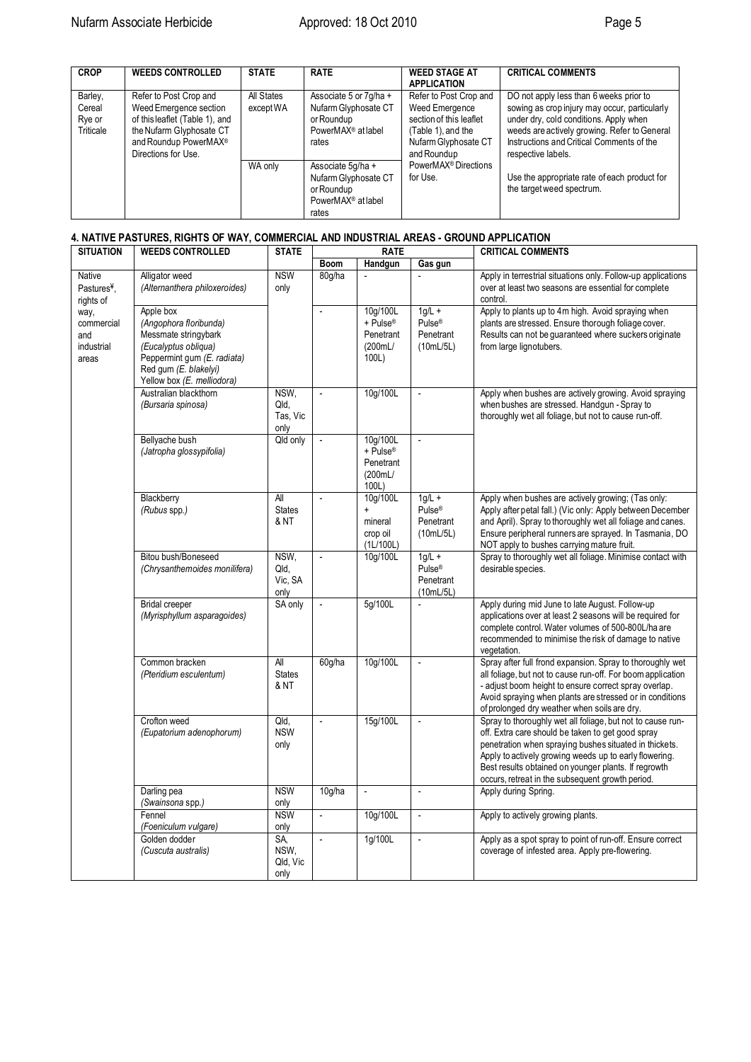| <b>CROP</b>                              | <b>WEEDS CONTROLLED</b>                                                                                                                                                    | <b>STATE</b>            | <b>RATE</b>                                                                                             | <b>WEED STAGE AT</b><br><b>APPLICATION</b>                                                                                       | <b>CRITICAL COMMENTS</b>                                                                                                                                                                                                                              |
|------------------------------------------|----------------------------------------------------------------------------------------------------------------------------------------------------------------------------|-------------------------|---------------------------------------------------------------------------------------------------------|----------------------------------------------------------------------------------------------------------------------------------|-------------------------------------------------------------------------------------------------------------------------------------------------------------------------------------------------------------------------------------------------------|
| Barley,<br>Cereal<br>Rye or<br>Triticale | Refer to Post Crop and<br>Weed Emergence section<br>of this leaflet (Table 1), and<br>the Nufarm Glyphosate CT<br>and Roundup PowerMAX <sup>®</sup><br>Directions for Use. | All States<br>except WA | Associate 5 or 7q/ha +<br>Nufarm Glyphosate CT<br>or Roundup<br>PowerMAX <sup>®</sup> at label<br>rates | Refer to Post Crop and<br>Weed Emergence<br>section of this leaflet<br>(Table 1), and the<br>Nufarm Glyphosate CT<br>and Roundup | DO not apply less than 6 weeks prior to<br>sowing as crop injury may occur, particularly<br>under dry, cold conditions. Apply when<br>weeds are actively growing. Refer to General<br>Instructions and Critical Comments of the<br>respective labels. |
|                                          |                                                                                                                                                                            | WA only                 | Associate 5q/ha +<br>Nufarm Glyphosate CT<br>or Roundup<br>PowerMAX <sup>®</sup> at label<br>rates      | PowerMAX <sup>®</sup> Directions<br>for Use.                                                                                     | Use the appropriate rate of each product for<br>the target weed spectrum.                                                                                                                                                                             |

# **4. NATIVE PASTURES, RIGHTS OF WAY, COMMERCIAL AND INDUSTRIAL AREAS - GROUND APPLICATION**

| <b>SITUATION</b>                                 | <b>WEEDS CONTROLLED</b>                                                                                                                                                   | <b>STATE</b>                     | <b>RATE</b>              |                                                       |                                                          | <b>CRITICAL COMMENTS</b>                                                                                                                                                                                                                                                                                                                        |
|--------------------------------------------------|---------------------------------------------------------------------------------------------------------------------------------------------------------------------------|----------------------------------|--------------------------|-------------------------------------------------------|----------------------------------------------------------|-------------------------------------------------------------------------------------------------------------------------------------------------------------------------------------------------------------------------------------------------------------------------------------------------------------------------------------------------|
|                                                  |                                                                                                                                                                           |                                  | <b>Boom</b>              | Handgun                                               | Gas gun                                                  |                                                                                                                                                                                                                                                                                                                                                 |
| Native<br>Pastures <sup>¥</sup> ,<br>rights of   | Alligator weed<br>(Alternanthera philoxeroides)                                                                                                                           | <b>NSW</b><br>only               | 80g/ha                   | $\overline{a}$                                        |                                                          | Apply in terrestrial situations only. Follow-up applications<br>over at least two seasons are essential for complete<br>control.                                                                                                                                                                                                                |
| way,<br>commercial<br>and<br>industrial<br>areas | Apple box<br>(Angophora floribunda)<br>Messmate stringybark<br>(Eucalyptus obliqua)<br>Peppermint gum (E. radiata)<br>Red gum (E. blakelyi)<br>Yellow box (E. melliodora) |                                  | $\overline{\phantom{a}}$ | 10q/100L<br>+ Pulse®<br>Penetrant<br>(200mL/<br>100L) | $1q/L +$<br>Pulse <sup>®</sup><br>Penetrant<br>(10mL/5L) | Apply to plants up to 4m high. Avoid spraying when<br>plants are stressed. Ensure thorough foliage cover.<br>Results can not be guaranteed where suckers originate<br>from large lignotubers.                                                                                                                                                   |
|                                                  | Australian blackthorn<br>(Bursaria spinosa)                                                                                                                               | NSW,<br>Qld,<br>Tas, Vic<br>only | $\blacksquare$           | 10g/100L                                              | $\Box$                                                   | Apply when bushes are actively growing. Avoid spraying<br>when bushes are stressed. Handgun - Spray to<br>thoroughly wet all foliage, but not to cause run-off.                                                                                                                                                                                 |
|                                                  | Bellyache bush<br>(Jatropha glossypifolia)                                                                                                                                | Qld only                         |                          | 10q/100L<br>+ Pulse®<br>Penetrant<br>(200mL/<br>100L) |                                                          |                                                                                                                                                                                                                                                                                                                                                 |
|                                                  | Blackberry<br>(Rubus spp.)                                                                                                                                                | All<br><b>States</b><br>& NT     | $\overline{a}$           | 10g/100L<br>mineral<br>crop oil<br>(1L/100L)          | $1g/L +$<br>Pulse <sup>®</sup><br>Penetrant<br>(10mL/5L) | Apply when bushes are actively growing; (Tas only:<br>Apply after petal fall.) (Vic only: Apply between December<br>and April). Spray to thoroughly wet all foliage and canes.<br>Ensure peripheral runners are sprayed. In Tasmania, DO<br>NOT apply to bushes carrying mature fruit.                                                          |
|                                                  | Bitou bush/Boneseed<br>(Chrysanthemoides monilifera)                                                                                                                      | NSW,<br>Qld,<br>Vic, SA<br>only  | $\overline{\phantom{a}}$ | 10g/100L                                              | $1g/L +$<br>Pulse <sup>®</sup><br>Penetrant<br>(10mL/5L) | Spray to thoroughly wet all foliage. Minimise contact with<br>desirable species.                                                                                                                                                                                                                                                                |
|                                                  | <b>Bridal creeper</b><br>(Myrisphyllum asparagoides)                                                                                                                      | SA only                          | $\overline{\phantom{a}}$ | 5g/100L                                               | $\overline{\phantom{a}}$                                 | Apply during mid June to late August. Follow-up<br>applications over at least 2 seasons will be required for<br>complete control. Water volumes of 500-800L/ha are<br>recommended to minimise the risk of damage to native<br>vegetation.                                                                                                       |
|                                                  | Common bracken<br>(Pteridium esculentum)                                                                                                                                  | All<br><b>States</b><br>& NT     | 60g/ha                   | 10g/100L                                              | $\overline{\phantom{a}}$                                 | Spray after full frond expansion. Spray to thoroughly wet<br>all foliage, but not to cause run-off. For boom application<br>- adjust boom height to ensure correct spray overlap.<br>Avoid spraying when plants are stressed or in conditions<br>of prolonged dry weather when soils are dry.                                                   |
|                                                  | Crofton weed<br>(Eupatorium adenophorum)                                                                                                                                  | Qld,<br><b>NSW</b><br>only       | $\overline{a}$           | 15g/100L                                              | $\overline{\phantom{a}}$                                 | Spray to thoroughly wet all foliage, but not to cause run-<br>off. Extra care should be taken to get good spray<br>penetration when spraying bushes situated in thickets.<br>Apply to actively growing weeds up to early flowering.<br>Best results obtained on younger plants. If regrowth<br>occurs, retreat in the subsequent growth period. |
|                                                  | Darling pea<br>(Swainsona spp.)                                                                                                                                           | <b>NSW</b><br>only               | 10 <sub>g</sub> /ha      | $\Box$                                                | $\overline{\phantom{a}}$                                 | Apply during Spring.                                                                                                                                                                                                                                                                                                                            |
|                                                  | Fennel<br>(Foeniculum vulgare)                                                                                                                                            | <b>NSW</b><br>only               | $\overline{\phantom{a}}$ | 10g/100L                                              | $\overline{\phantom{a}}$                                 | Apply to actively growing plants.                                                                                                                                                                                                                                                                                                               |
|                                                  | Golden dodder<br>(Cuscuta australis)                                                                                                                                      | SA,<br>NSW,<br>Qld, Vic<br>only  | $\overline{a}$           | 1g/100L                                               | $\overline{\phantom{a}}$                                 | Apply as a spot spray to point of run-off. Ensure correct<br>coverage of infested area. Apply pre-flowering.                                                                                                                                                                                                                                    |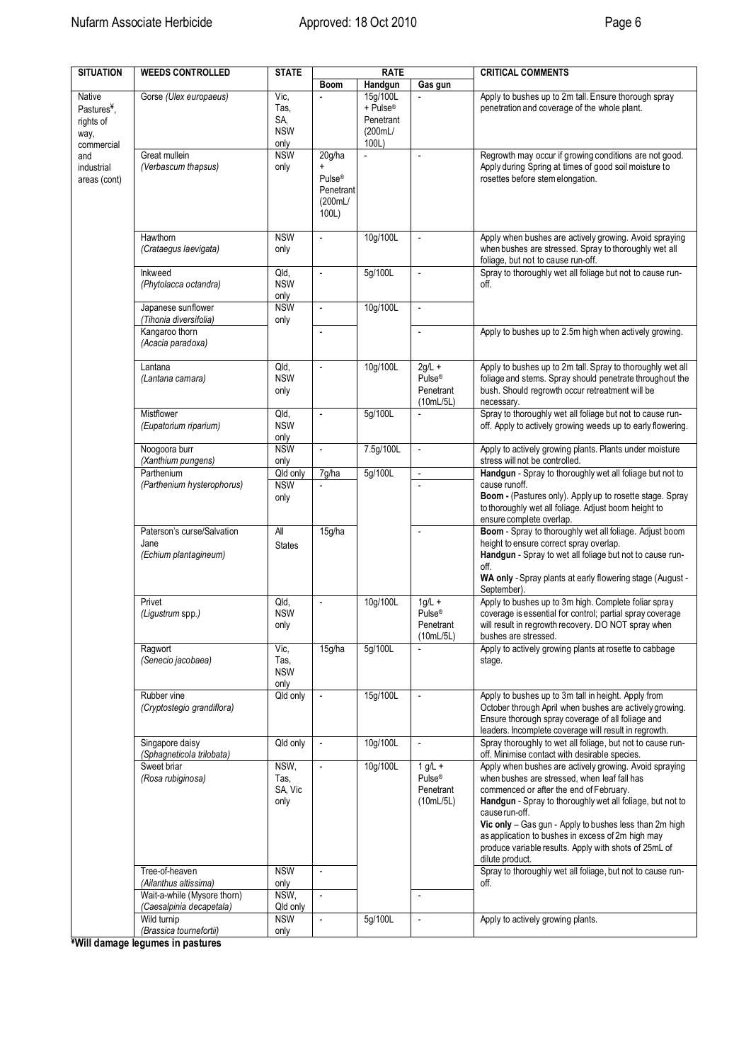| <b>SITUATION</b>                                                     | <b>WEEDS CONTROLLED</b>                                                | <b>STATE</b>                              |                                                               | <b>RATE</b>                                           |                                                           | <b>CRITICAL COMMENTS</b>                                                                                                                                                                                                                                                                                                                                                                                                    |
|----------------------------------------------------------------------|------------------------------------------------------------------------|-------------------------------------------|---------------------------------------------------------------|-------------------------------------------------------|-----------------------------------------------------------|-----------------------------------------------------------------------------------------------------------------------------------------------------------------------------------------------------------------------------------------------------------------------------------------------------------------------------------------------------------------------------------------------------------------------------|
|                                                                      |                                                                        |                                           | Boom                                                          | Handgun                                               | Gas gun                                                   |                                                                                                                                                                                                                                                                                                                                                                                                                             |
| Native<br>Pastures <sup>¥</sup> ,<br>rights of<br>way,<br>commercial | Gorse (Ulex europaeus)                                                 | Vic,<br>Tas,<br>SA,<br><b>NSW</b><br>only |                                                               | 15g/100L<br>+ Pulse®<br>Penetrant<br>(200mL/<br>100L) |                                                           | Apply to bushes up to 2m tall. Ensure thorough spray<br>penetration and coverage of the whole plant.                                                                                                                                                                                                                                                                                                                        |
| and<br>industrial<br>areas (cont)                                    | Great mullein<br>(Verbascum thapsus)                                   | <b>NSW</b><br>only                        | 20g/ha<br>Pulse <sup>®</sup><br>Penetrant<br>(200mL/<br>100L) | L.                                                    | $\overline{a}$                                            | Regrowth may occur if growing conditions are not good.<br>Apply during Spring at times of good soil moisture to<br>rosettes before stem elongation.                                                                                                                                                                                                                                                                         |
|                                                                      | Hawthorn<br>(Crataegus laevigata)                                      | <b>NSW</b><br>only                        |                                                               | 10g/100L                                              | $\blacksquare$                                            | Apply when bushes are actively growing. Avoid spraying<br>when bushes are stressed. Spray to thoroughly wet all<br>foliage, but not to cause run-off.                                                                                                                                                                                                                                                                       |
|                                                                      | Inkweed<br>(Phytolacca octandra)                                       | Qld,<br><b>NSW</b><br>only                |                                                               | 5g/100L                                               | ÷,                                                        | Spray to thoroughly wet all foliage but not to cause run-<br>off.                                                                                                                                                                                                                                                                                                                                                           |
|                                                                      | Japanese sunflower<br>(Tihonia diversifolia)                           | <b>NSW</b><br>only                        | $\overline{\phantom{a}}$                                      | 10g/100L                                              | $\Box$                                                    |                                                                                                                                                                                                                                                                                                                                                                                                                             |
|                                                                      | Kangaroo thorn<br>(Acacia paradoxa)                                    |                                           |                                                               |                                                       | $\overline{a}$                                            | Apply to bushes up to 2.5m high when actively growing.                                                                                                                                                                                                                                                                                                                                                                      |
|                                                                      | Lantana<br>(Lantana camara)                                            | Qld,<br><b>NSW</b><br>only                | $\overline{\phantom{a}}$                                      | 10g/100L                                              | $2g/L +$<br>$Pulse^{\otimes}$<br>Penetrant<br>(10mL/5L)   | Apply to bushes up to 2m tall. Spray to thoroughly wet all<br>foliage and stems. Spray should penetrate throughout the<br>bush. Should regrowth occur retreatment will be<br>necessary.                                                                                                                                                                                                                                     |
|                                                                      | Mistflower<br>(Eupatorium riparium)                                    | Qld,<br><b>NSW</b><br>only                | $\overline{\phantom{a}}$                                      | 5g/100L                                               |                                                           | Spray to thoroughly wet all foliage but not to cause run-<br>off. Apply to actively growing weeds up to early flowering.                                                                                                                                                                                                                                                                                                    |
|                                                                      | Noogoora burr<br>(Xanthium pungens)                                    | <b>NSW</b><br>only                        | $\overline{\phantom{a}}$                                      | 7.5g/100L                                             | $\overline{\phantom{a}}$                                  | Apply to actively growing plants. Plants under moisture<br>stress will not be controlled.                                                                                                                                                                                                                                                                                                                                   |
|                                                                      | Parthenium                                                             | Qld only                                  | 7g/ha                                                         | 5g/100L                                               | $\blacksquare$                                            | Handgun - Spray to thoroughly wet all foliage but not to                                                                                                                                                                                                                                                                                                                                                                    |
|                                                                      | (Parthenium hysterophorus)                                             | <b>NSW</b><br>only                        | ÷,                                                            |                                                       | $\overline{a}$                                            | cause runoff.<br>Boom - (Pastures only). Apply up to rosette stage. Spray<br>to thoroughly wet all foliage. Adjust boom height to<br>ensure complete overlap.                                                                                                                                                                                                                                                               |
|                                                                      | Paterson's curse/Salvation<br>Jane<br>(Echium plantagineum)            | All<br><b>States</b>                      | 15g/ha                                                        |                                                       | $\overline{\phantom{a}}$                                  | Boom - Spray to thoroughly wet all foliage. Adjust boom<br>height to ensure correct spray overlap.<br>Handgun - Spray to wet all foliage but not to cause run-<br>off.<br>WA only - Spray plants at early flowering stage (August -<br>September).                                                                                                                                                                          |
|                                                                      | Privet<br>(Ligustrum spp.)                                             | Qld,<br><b>NSW</b><br>only                | $\overline{\phantom{a}}$                                      | 10g/100L                                              | $1q/L +$<br>Pulse <sup>®</sup><br>Penetrant<br>(10mL/5L)  | Apply to bushes up to 3m high. Complete foliar spray<br>coverage is essential for control; partial spray coverage<br>will result in regrowth recovery. DO NOT spray when<br>bushes are stressed.                                                                                                                                                                                                                            |
|                                                                      | Ragwort<br>(Senecio jacobaea)                                          | Vic,<br>Tas,<br><b>NSW</b><br>only        | 15g/ha                                                        | 5g/100L                                               |                                                           | Apply to actively growing plants at rosette to cabbage<br>stage.                                                                                                                                                                                                                                                                                                                                                            |
|                                                                      | Rubber vine<br>(Cryptostegio grandiflora)                              | Qld only                                  |                                                               | 15g/100L                                              |                                                           | Apply to bushes up to 3m tall in height. Apply from<br>October through April when bushes are actively growing.<br>Ensure thorough spray coverage of all foliage and<br>leaders. Incomplete coverage will result in regrowth.                                                                                                                                                                                                |
|                                                                      | Singapore daisy<br>(Sphagneticola trilobata)                           | Qld only                                  | $\overline{\phantom{a}}$                                      | 10g/100L                                              | $\blacksquare$                                            | Spray thoroughly to wet all foliage, but not to cause run-<br>off. Minimise contact with desirable species.                                                                                                                                                                                                                                                                                                                 |
|                                                                      | Sweet briar<br>(Rosa rubiginosa)                                       | NSW,<br>Tas.<br>SA, Vic<br>only           |                                                               | 10g/100L                                              | $1 g/L +$<br>Pulse <sup>®</sup><br>Penetrant<br>(10mL/5L) | Apply when bushes are actively growing. Avoid spraying<br>when bushes are stressed, when leaf fall has<br>commenced or after the end of February.<br>Handgun - Spray to thoroughly wet all foliage, but not to<br>cause run-off.<br>Vic only - Gas gun - Apply to bushes less than 2m high<br>as application to bushes in excess of 2m high may<br>produce variable results. Apply with shots of 25mL of<br>dilute product. |
|                                                                      | Tree-of-heaven<br>(Ailanthus altissima)<br>Wait-a-while (Mysore thorn) | <b>NSW</b><br>only<br>NSW,                | $\overline{\phantom{a}}$                                      |                                                       | $\overline{a}$                                            | Spray to thoroughly wet all foliage, but not to cause run-<br>off.                                                                                                                                                                                                                                                                                                                                                          |
|                                                                      | (Caesalpinia decapetala)<br>Wild turnip                                | Qld only<br><b>NSW</b>                    | $\overline{\phantom{a}}$                                      | 5g/100L                                               | $\overline{\phantom{a}}$                                  | Apply to actively growing plants.                                                                                                                                                                                                                                                                                                                                                                                           |
|                                                                      | (Brassica tournefortii)                                                | only                                      |                                                               |                                                       |                                                           |                                                                                                                                                                                                                                                                                                                                                                                                                             |

**¥Will damage legumes in pastures**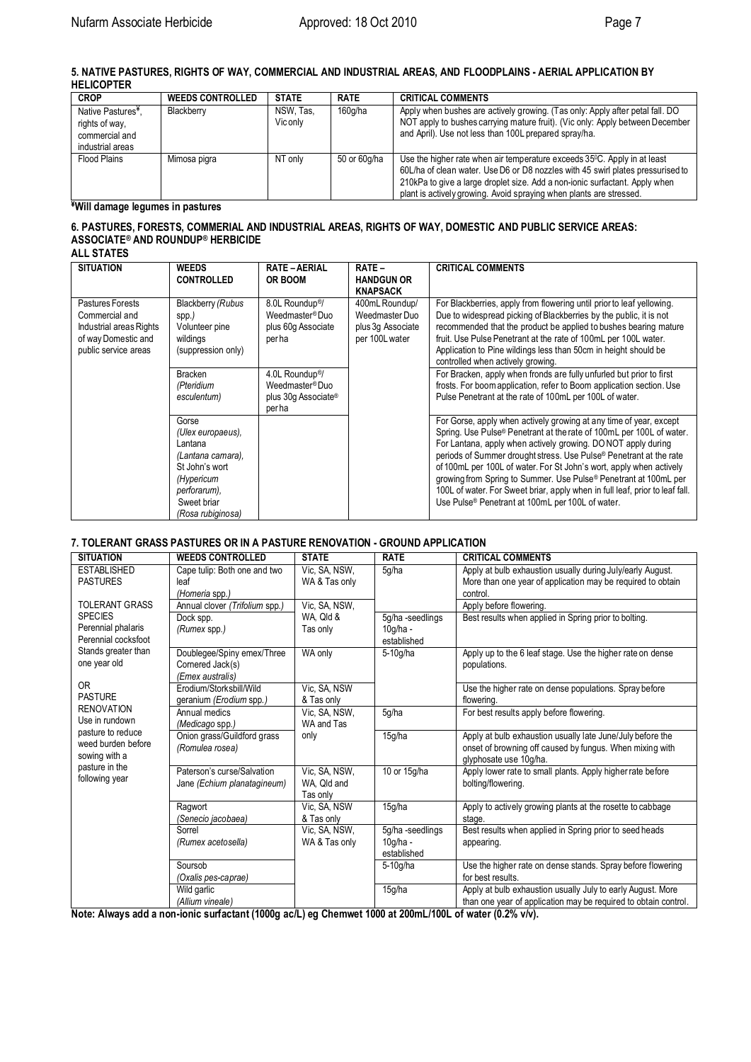**5. NATIVE PASTURES, RIGHTS OF WAY, COMMERCIAL AND INDUSTRIAL AREAS, AND FLOODPLAINS - AERIAL APPLICATION BY HELICOPTER**

| <b>CROP</b>                                                        | <b>WEEDS CONTROLLED</b> | <b>STATE</b>          | <b>RATE</b>  | <b>CRITICAL COMMENTS</b>                                                                                                                                                                                                                                                                                                       |
|--------------------------------------------------------------------|-------------------------|-----------------------|--------------|--------------------------------------------------------------------------------------------------------------------------------------------------------------------------------------------------------------------------------------------------------------------------------------------------------------------------------|
| Native Pastures <sup>¥</sup> .<br>rights of way,<br>commercial and | Blackberry              | NSW. Tas.<br>Vic only | 160g/ha      | Apply when bushes are actively growing. (Tas only: Apply after petal fall. DO<br>NOT apply to bushes carrying mature fruit). (Vic only: Apply between December<br>and April). Use not less than 100L prepared spray/ha.                                                                                                        |
| industrial areas                                                   |                         |                       |              |                                                                                                                                                                                                                                                                                                                                |
| Flood Plains                                                       | Mimosa pigra            | NT only               | 50 or 60g/ha | Use the higher rate when air temperature exceeds 35 <sup>o</sup> C. Apply in at least<br>60L/ha of clean water. Use D6 or D8 nozzles with 45 swirl plates pressurised to<br>210kPa to give a large droplet size. Add a non-ionic surfactant. Apply when<br>plant is actively growing. Avoid spraying when plants are stressed. |

### **¥Will damage legumes in pastures**

## **6. PASTURES, FORESTS, COMMERIAL AND INDUSTRIAL AREAS, RIGHTS OF WAY, DOMESTIC AND PUBLIC SERVICE AREAS: ASSOCIATE® AND ROUNDUP® HERBICIDE**

| <b>ALL STATES</b> |  |  |  |  |  |  |  |
|-------------------|--|--|--|--|--|--|--|
|-------------------|--|--|--|--|--|--|--|

| <b>SITUATION</b>                                                                                             | <b>WEEDS</b><br><b>CONTROLLED</b>                                                                                                              | <b>RATE-AERIAL</b><br><b>OR BOOM</b>                                                       | <b>RATE –</b><br><b>HANDGUN OR</b><br><b>KNAPSACK</b>                   | <b>CRITICAL COMMENTS</b>                                                                                                                                                                                                                                                                                                                                                                                                                                                                                                                                                                 |
|--------------------------------------------------------------------------------------------------------------|------------------------------------------------------------------------------------------------------------------------------------------------|--------------------------------------------------------------------------------------------|-------------------------------------------------------------------------|------------------------------------------------------------------------------------------------------------------------------------------------------------------------------------------------------------------------------------------------------------------------------------------------------------------------------------------------------------------------------------------------------------------------------------------------------------------------------------------------------------------------------------------------------------------------------------------|
| Pastures Forests<br>Commercial and<br>Industrial areas Rights<br>of way Domestic and<br>public service areas | Blackberry (Rubus<br>spp.)<br>Volunteer pine<br>wildings<br>(suppression only)                                                                 | 8.0L Roundup <sup>®</sup> /<br>Weedmaster®Duo<br>plus 60g Associate<br>perha               | 400mL Roundup/<br>Weedmaster Duo<br>plus 3g Associate<br>per 100L water | For Blackberries, apply from flowering until prior to leaf yellowing.<br>Due to widespread picking of Blackberries by the public, it is not<br>recommended that the product be applied to bushes bearing mature<br>fruit. Use Pulse Penetrant at the rate of 100mL per 100L water.<br>Application to Pine wildings less than 50cm in height should be<br>controlled when actively growing.                                                                                                                                                                                               |
|                                                                                                              | <b>Bracken</b><br>(Pteridium<br>esculentum)                                                                                                    | 4.0L Roundup <sup>®</sup> /<br>Weedmaster <sup>®</sup> Duo<br>plus 30g Associate®<br>perha |                                                                         | For Bracken, apply when fronds are fully unfurled but prior to first<br>frosts. For boom application, refer to Boom application section. Use<br>Pulse Penetrant at the rate of 100mL per 100L of water.                                                                                                                                                                                                                                                                                                                                                                                  |
|                                                                                                              | Gorse<br>(Ulex europaeus),<br>Lantana<br>(Lantana camara),<br>St John's wort<br>(Hypericum<br>perforarum).<br>Sweet briar<br>(Rosa rubiginosa) |                                                                                            |                                                                         | For Gorse, apply when actively growing at any time of year, except<br>Spring. Use Pulse <sup>®</sup> Penetrant at the rate of 100mL per 100L of water.<br>For Lantana, apply when actively growing. DO NOT apply during<br>periods of Summer drought stress. Use Pulse® Penetrant at the rate<br>of 100mL per 100L of water. For St John's wort, apply when actively<br>growing from Spring to Summer. Use Pulse <sup>®</sup> Penetrant at 100mL per<br>100L of water. For Sweet briar, apply when in full leaf, prior to leaf fall.<br>Use Pulse® Penetrant at 100mL per 100L of water. |

#### **7. TOLERANT GRASS PASTURES OR IN A PASTURE RENOVATION - GROUND APPLICATION**

| <b>SITUATION</b>                                                                                                                                                                                                                                                              | <b>WEEDS CONTROLLED</b>                                            | <b>STATE</b>                             | <b>RATE</b>                                  | <b>CRITICAL COMMENTS</b>                                                                                                                         |
|-------------------------------------------------------------------------------------------------------------------------------------------------------------------------------------------------------------------------------------------------------------------------------|--------------------------------------------------------------------|------------------------------------------|----------------------------------------------|--------------------------------------------------------------------------------------------------------------------------------------------------|
| <b>ESTABLISHED</b><br><b>PASTURES</b>                                                                                                                                                                                                                                         | Cape tulip: Both one and two<br>leaf<br>(Homeria spp.)             | Vic. SA, NSW,<br>WA & Tas only           | 5g/ha                                        | Apply at bulb exhaustion usually during July/early August.<br>More than one year of application may be required to obtain<br>control.            |
| <b>TOLERANT GRASS</b>                                                                                                                                                                                                                                                         | Annual clover (Trifolium spp.)                                     | Vic, SA, NSW,                            |                                              | Apply before flowering.                                                                                                                          |
| <b>SPECIES</b><br>Perennial phalaris<br>Perennial cocksfoot<br>Stands greater than<br>one year old<br>0 <sub>R</sub><br><b>PASTURE</b><br><b>RENOVATION</b><br>Use in rundown<br>pasture to reduce<br>weed burden before<br>sowing with a<br>pasture in the<br>following year | Dock spp.<br>(Rumex spp.)                                          | WA, Qld &<br>Tas only                    | 5g/ha-seedlings<br>$10g/ha -$<br>established | Best results when applied in Spring prior to bolting.                                                                                            |
|                                                                                                                                                                                                                                                                               | Doublegee/Spiny emex/Three<br>Cornered Jack(s)<br>(Emex australis) | WA only                                  | 5-10g/ha                                     | Apply up to the 6 leaf stage. Use the higher rate on dense<br>populations.                                                                       |
|                                                                                                                                                                                                                                                                               | Erodium/Storksbill/Wild<br>geranium (Erodium spp.)                 | Vic. SA, NSW<br>& Tas only               |                                              | Use the higher rate on dense populations. Spray before<br>flowering.                                                                             |
|                                                                                                                                                                                                                                                                               | Annual medics<br>(Medicago spp.)                                   | Vic. SA, NSW,<br>WA and Tas              | 5g/ha                                        | For best results apply before flowering.                                                                                                         |
|                                                                                                                                                                                                                                                                               | Onion grass/Guildford grass<br>(Romulea rosea)                     | only                                     | 15g/ha                                       | Apply at bulb exhaustion usually late June/July before the<br>onset of browning off caused by fungus. When mixing with<br>glyphosate use 10g/ha. |
|                                                                                                                                                                                                                                                                               | Paterson's curse/Salvation<br>Jane (Echium planatagineum)          | Vic. SA, NSW,<br>WA. Old and<br>Tas only | 10 or 15g/ha                                 | Apply lower rate to small plants. Apply higher rate before<br>bolting/flowering.                                                                 |
|                                                                                                                                                                                                                                                                               | Ragwort<br>(Senecio jacobaea)                                      | Vic. SA, NSW<br>& Tas only               | 15g/ha                                       | Apply to actively growing plants at the rosette to cabbage<br>stage.                                                                             |
|                                                                                                                                                                                                                                                                               | Sorrel<br>(Rumex acetosella)                                       | Vic, SA, NSW,<br>WA & Tas only           | 5g/ha-seedlings<br>$10g/ha -$<br>established | Best results when applied in Spring prior to seed heads<br>appearing.                                                                            |
|                                                                                                                                                                                                                                                                               | Soursob<br>(Oxalis pes-caprae)                                     |                                          | 5-10g/ha                                     | Use the higher rate on dense stands. Spray before flowering<br>for best results.                                                                 |
|                                                                                                                                                                                                                                                                               | Wild garlic<br>(Allium vineale)                                    |                                          | 15g/ha                                       | Apply at bulb exhaustion usually July to early August. More<br>than one year of application may be required to obtain control.                   |

**Note: Always add a non-ionic surfactant (1000g ac/L) eg Chemwet 1000 at 200mL/100L of water (0.2% v/v).**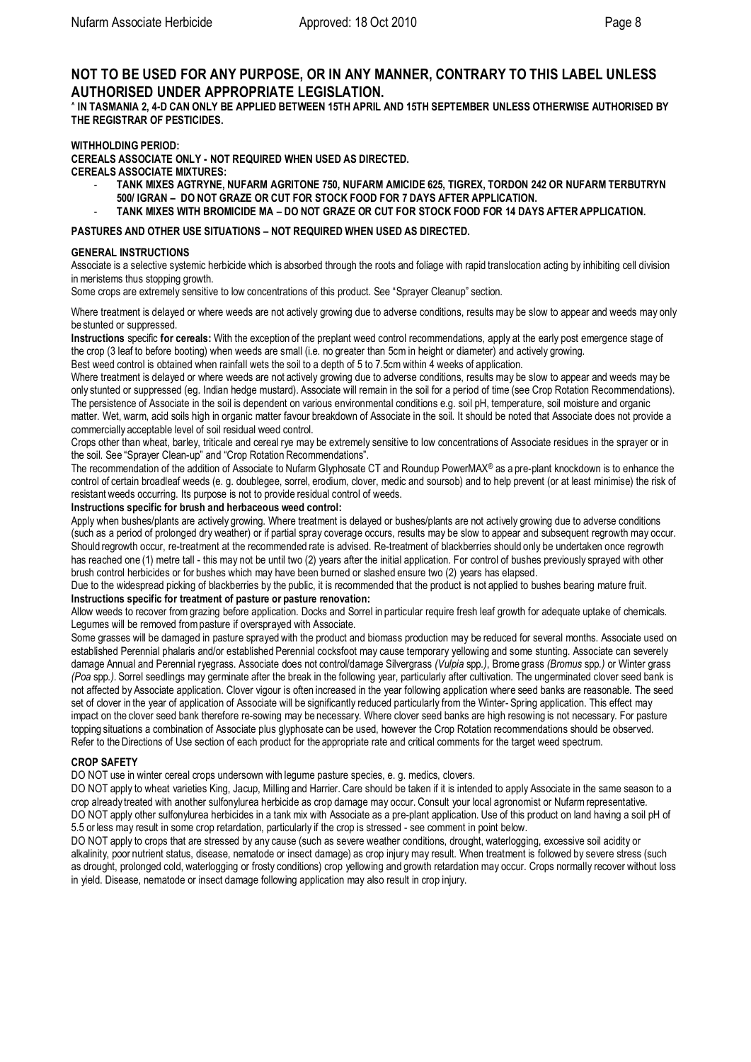# **NOT TO BE USED FOR ANY PURPOSE, OR IN ANY MANNER, CONTRARY TO THIS LABEL UNLESS AUTHORISED UNDER APPROPRIATE LEGISLATION.**

**^ IN TASMANIA 2, 4-D CAN ONLY BE APPLIED BETWEEN 15TH APRIL AND 15TH SEPTEMBER UNLESS OTHERWISE AUTHORISED BY THE REGISTRAR OF PESTICIDES.**

#### **WITHHOLDING PERIOD:**

**CEREALS ASSOCIATE ONLY - NOT REQUIRED WHEN USED AS DIRECTED. CEREALS ASSOCIATE MIXTURES:**

- **TANK MIXES AGTRYNE, NUFARM AGRITONE 750, NUFARM AMICIDE 625, TIGREX, TORDON 242 OR NUFARM TERBUTRYN 500/ IGRAN – DO NOT GRAZE OR CUT FOR STOCK FOOD FOR 7 DAYS AFTER APPLICATION.**
- **TANK MIXES WITH BROMICIDE MA – DO NOT GRAZE OR CUT FOR STOCK FOOD FOR 14 DAYS AFTER APPLICATION.**

### **PASTURES AND OTHER USE SITUATIONS – NOT REQUIRED WHEN USED AS DIRECTED.**

#### **GENERAL INSTRUCTIONS**

Associate is a selective systemic herbicide which is absorbed through the roots and foliage with rapid translocation acting by inhibiting cell division in meristems thus stopping growth.

Some crops are extremely sensitive to low concentrations of this product. See "Sprayer Cleanup" section.

Where treatment is delayed or where weeds are not actively growing due to adverse conditions, results may be slow to appear and weeds may only be stunted or suppressed.

**Instructions** specific **for cereals:** With the exception of the preplant weed control recommendations, apply at the early post emergence stage of the crop (3 leaf to before booting) when weeds are small (i.e. no greater than 5cm in height or diameter) and actively growing.

Best weed control is obtained when rainfall wets the soil to a depth of 5 to 7.5cm within 4 weeks of application.

Where treatment is delayed or where weeds are not actively growing due to adverse conditions, results may be slow to appear and weeds may be only stunted or suppressed (eg. Indian hedge mustard). Associate will remain in the soil for a period of time (see Crop Rotation Recommendations). The persistence of Associate in the soil is dependent on various environmental conditions e.g. soil pH, temperature, soil moisture and organic matter. Wet, warm, acid soils high in organic matter favour breakdown of Associate in the soil. It should be noted that Associate does not provide a commercially acceptable level of soil residual weed control.

Crops other than wheat, barley, triticale and cereal rye may be extremely sensitive to low concentrations of Associate residues in the sprayer or in the soil. See "Sprayer Clean-up" and "Crop Rotation Recommendations".

The recommendation of the addition of Associate to Nufarm Glyphosate CT and Roundup PowerMAX® as a pre-plant knockdown is to enhance the control of certain broadleaf weeds (e. g. doublegee, sorrel, erodium, clover, medic and soursob) and to help prevent (or at least minimise) the risk of resistant weeds occurring. Its purpose is not to provide residual control of weeds.

### **Instructions specific for brush and herbaceous weed control:**

Apply when bushes/plants are actively growing. Where treatment is delayed or bushes/plants are not actively growing due to adverse conditions (such as a period of prolonged dry weather) or if partial spray coverage occurs, results may be slow to appear and subsequent regrowth may occur. Should regrowth occur, re-treatment at the recommended rate is advised. Re-treatment of blackberries should only be undertaken once regrowth has reached one (1) metre tall - this may not be until two (2) years after the initial application. For control of bushes previously sprayed with other brush control herbicides or for bushes which may have been burned or slashed ensure two (2) years has elapsed.

Due to the widespread picking of blackberries by the public, it is recommended that the product is not applied to bushes bearing mature fruit. **Instructions specific for treatment of pasture or pasture renovation:** 

Allow weeds to recover from grazing before application. Docks and Sorrel in particular require fresh leaf growth for adequate uptake of chemicals. Legumes will be removed frompasture if oversprayed with Associate.

Some grasses will be damaged in pasture sprayed with the product and biomass production may be reduced for several months. Associate used on established Perennial phalaris and/or established Perennial cocksfoot may cause temporary yellowing and some stunting. Associate can severely damage Annual and Perennial ryegrass. Associate does not control/damage Silvergrass *(Vulpia* spp*.)*, Brome grass *(Bromus* spp*.)* or Winter grass *(Poa* spp*.).* Sorrel seedlings may germinate after the break in the following year, particularly after cultivation. The ungerminated clover seed bank is not affected by Associate application. Clover vigour is often increased in the year following application where seed banks are reasonable. The seed set of clover in the year of application of Associate will be significantly reduced particularly from the Winter- Spring application. This effect may impact on the clover seed bank therefore re-sowing may be necessary. Where clover seed banks are high resowing is not necessary. For pasture topping situations a combination of Associate plus glyphosate can be used, however the Crop Rotation recommendations should be observed. Refer to the Directions of Use section of each product for the appropriate rate and critical comments for the target weed spectrum.

#### **CROP SAFETY**

DO NOT use in winter cereal crops undersown with legume pasture species, e. g. medics, clovers.

DO NOT apply to wheat varieties King, Jacup, Milling and Harrier. Care should be taken if it is intended to apply Associate in the same season to a crop already treated with another sulfonylurea herbicide as crop damage may occur. Consult your local agronomist or Nufarmrepresentative. DO NOT apply other sulfonylurea herbicides in a tank mix with Associate as a pre-plant application. Use of this product on land having a soil pH of 5.5 or less may result in some crop retardation, particularly if the crop is stressed - see comment in point below.

DO NOT apply to crops that are stressed by any cause (such as severe weather conditions, drought, waterlogging, excessive soil acidity or alkalinity, poor nutrient status, disease, nematode or insect damage) as crop injury may result. When treatment is followed by severe stress (such as drought, prolonged cold, waterlogging or frosty conditions) crop yellowing and growth retardation may occur. Crops normally recover without loss in yield. Disease, nematode or insect damage following application may also result in crop injury.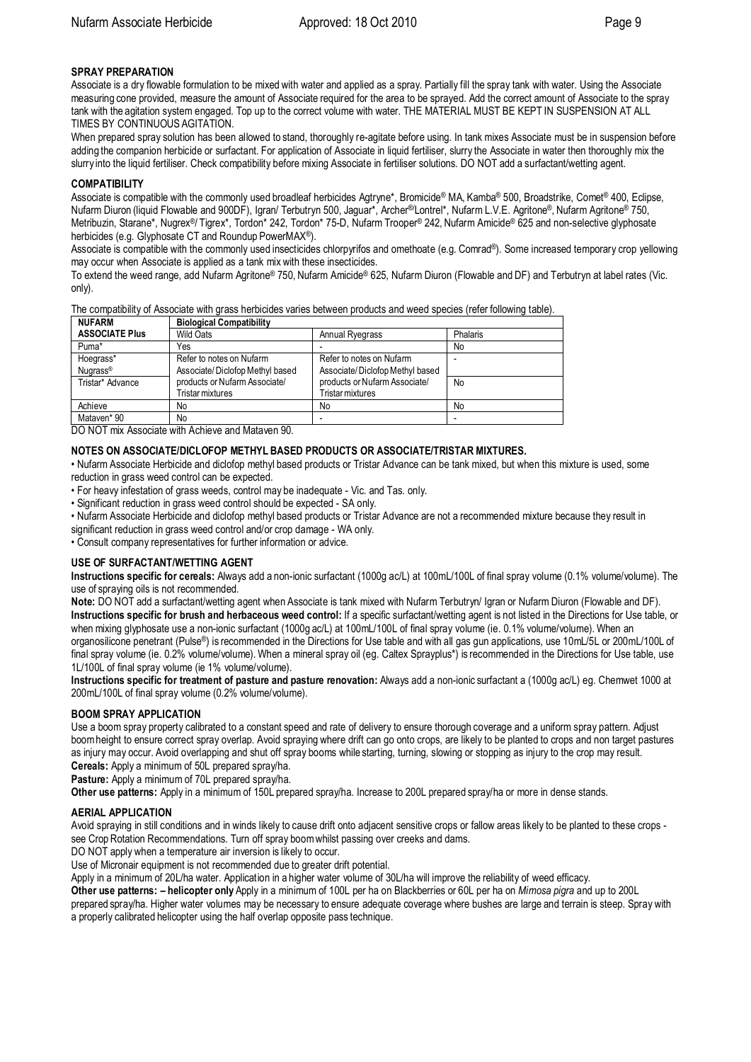### **SPRAY PREPARATION**

Associate is a dry flowable formulation to be mixed with water and applied as a spray. Partially fill the spray tank with water. Using the Associate measuring cone provided, measure the amount of Associate required for the area to be sprayed. Add the correct amount of Associate to the spray tank with the agitation system engaged. Top up to the correct volume with water. THE MATERIAL MUST BE KEPT IN SUSPENSION AT ALL TIMES BY CONTINUOUS AGITATION.

When prepared spray solution has been allowed to stand, thoroughly re-agitate before using. In tank mixes Associate must be in suspension before adding the companion herbicide or surfactant. For application of Associate in liquid fertiliser, slurry the Associate in water then thoroughly mix the slurry into the liquid fertiliser. Check compatibility before mixing Associate in fertiliser solutions. DO NOT add a surfactant/wetting agent.

#### **COMPATIBILITY**

Associate is compatible with the commonly used broadleaf herbicides Agtryne\*, Bromicide® MA, Kamba ® 500, Broadstrike, Comet® 400, Eclipse, Nufarm Diuron (liquid Flowable and 900DF), Igran/ Terbutryn 500, Jaguar\*, Archer®/Lontrel\*, Nufarm L.V.E. Agritone®, Nufarm Agritone® 750, Metribuzin, Starane\*, Nugrex®/ Tigrex\*, Tordon\* 242, Tordon\* 75-D, Nufarm Trooper® 242, Nufarm Amicide® 625 and non-selective glyphosate herbicides (e.g. Glyphosate CT and Roundup PowerMAX®).

Associate is compatible with the commonly used insecticides chlorpyrifos and omethoate (e.g. Comrad®). Some increased temporary crop yellowing may occur when Associate is applied as a tank mix with these insecticides.

To extend the weed range, add Nufarm Agritone® 750, Nufarm Amicide® 625, Nufarm Diuron (Flowable and DF) and Terbutryn at label rates (Vic. only).

The compatibility of Associate with grass herbicides varies between products and weed species (refer following table).

| <b>Biological Compatibility</b> |                                 |          |  |  |
|---------------------------------|---------------------------------|----------|--|--|
| <b>Wild Oats</b>                | <b>Annual Ryegrass</b>          | Phalaris |  |  |
| Yes                             |                                 | No       |  |  |
| Refer to notes on Nufarm        | Refer to notes on Nufarm        |          |  |  |
| Associate/Diclofop Methyl based | Associate/Diclofop Methyl based |          |  |  |
| products or Nufarm Associate/   | products or Nufarm Associate/   | No       |  |  |
| Tristar mixtures                | Tristar mixtures                |          |  |  |
| No                              | No                              | No       |  |  |
| No                              |                                 |          |  |  |
|                                 |                                 |          |  |  |

DO NOT mix Associate with Achieve and Mataven 90.

### **NOTES ON ASSOCIATE/DICLOFOP METHYL BASED PRODUCTS OR ASSOCIATE/TRISTAR MIXTURES.**

• Nufarm Associate Herbicide and diclofop methyl based products or Tristar Advance can be tank mixed, but when this mixture is used, some reduction in grass weed control can be expected.

• For heavy infestation of grass weeds, control may be inadequate - Vic. and Tas. only.

• Significant reduction in grass weed control should be expected - SA only.

• Nufarm Associate Herbicide and diclofop methyl based products or Tristar Advance are not a recommended mixture because they result in significant reduction in grass weed control and/or crop damage - WA only.

• Consult company representatives for further information or advice.

#### **USE OF SURFACTANT/WETTING AGENT**

**Instructions specific for cereals:** Always add a non-ionic surfactant (1000g ac/L) at 100mL/100L of final spray volume (0.1% volume/volume). The use of spraying oils is not recommended.

**Note:** DO NOT add a surfactant/wetting agent when Associate is tank mixed with Nufarm Terbutryn/ Igran or Nufarm Diuron (Flowable and DF). **Instructions specific for brush and herbaceous weed control:** If a specific surfactant/wetting agent is not listed in the Directions for Use table, or when mixing glyphosate use a non-ionic surfactant (1000g ac/L) at 100mL/100L of final spray volume (ie. 0.1% volume/volume). When an organosilicone penetrant (Pulse®) is recommended in the Directions for Use table and with all gas gun applications, use 10mL/5L or 200mL/100L of final spray volume (ie. 0.2% volume/volume). When a mineral spray oil (eg. Caltex Sprayplus\*) is recommended in the Directions for Use table, use 1L/100L of final spray volume (ie 1% volume/volume).

**Instructions specific for treatment of pasture and pasture renovation:** Always add a non-ionic surfactant a (1000g ac/L) eg. Chemwet 1000 at 200mL/100L of final spray volume (0.2% volume/volume).

## **BOOM SPRAY APPLICATION**

Use a boom spray property calibrated to a constant speed and rate of delivery to ensure thorough coverage and a uniform spray pattern. Adjust boomheight to ensure correct spray overlap. Avoid spraying where drift can go onto crops, are likely to be planted to crops and non target pastures as injury may occur. Avoid overlapping and shut off spray booms while starting, turning, slowing or stopping as injury to the crop may result. **Cereals:** Apply a minimum of 50L prepared spray/ha.

**Pasture:** Apply a minimum of 70L prepared spray/ha.

**Other use patterns:** Apply in a minimum of 150L prepared spray/ha. Increase to 200L prepared spray/ha or more in dense stands.

#### **AERIAL APPLICATION**

Avoid spraying in still conditions and in winds likely to cause drift onto adjacent sensitive crops or fallow areas likely to be planted to these crops see Crop Rotation Recommendations. Turn off spray boomwhilst passing over creeks and dams.

DO NOT apply when a temperature air inversion is likely to occur.

Use of Micronair equipment is not recommended due to greater drift potential.

Apply in a minimum of 20L/ha water. Application in a higher water volume of 30L/ha will improve the reliability of weed efficacy.

**Other use patterns: – helicopter only** Apply in a minimum of 100L per ha on Blackberries or 60L per ha on *Mimosa pigra* and up to 200L prepared spray/ha. Higher water volumes may be necessary to ensure adequate coverage where bushes are large and terrain is steep. Spray with

a properly calibrated helicopter using the half overlap opposite pass technique.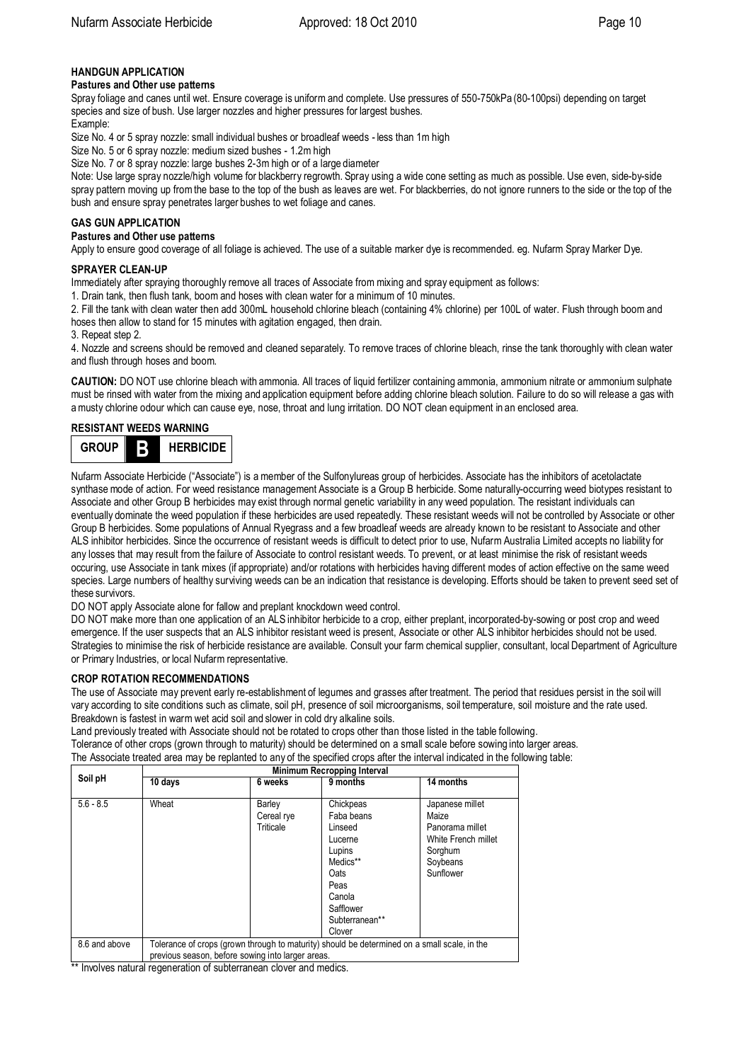# **HANDGUN APPLICATION**

#### **Pastures and Other use patterns**

Spray foliage and canes until wet. Ensure coverage is uniform and complete. Use pressures of 550-750kPa (80-100psi) depending on target species and size of bush. Use larger nozzles and higher pressures for largest bushes. Fxample:

Size No. 4 or 5 spray nozzle: small individual bushes or broadleaf weeds - less than 1m high

Size No. 5 or 6 spray nozzle: medium sized bushes - 1.2m high

Size No. 7 or 8 spray nozzle: large bushes 2-3m high or of a large diameter

Note: Use large spray nozzle/high volume for blackberry regrowth. Spray using a wide cone setting as much as possible. Use even, side-by-side spray pattern moving up fromthe base to the top of the bush as leaves are wet. For blackberries, do not ignore runners to the side or the top of the bush and ensure spray penetrates larger bushes to wet foliage and canes.

### **GAS GUN APPLICATION**

#### **Pastures and Other use patterns**

Apply to ensure good coverage of all foliage is achieved. The use of a suitable marker dye is recommended. eg. Nufarm Spray Marker Dye.

#### **SPRAYER CLEAN-UP**

Immediately after spraying thoroughly remove all traces of Associate from mixing and spray equipment as follows:

1. Drain tank, then flush tank, boom and hoses with clean water for a minimum of 10 minutes.

2. Fill the tank with clean water then add 300mL household chlorine bleach (containing 4% chlorine) per 100L of water. Flush through boom and hoses then allow to stand for 15 minutes with agitation engaged, then drain.

3. Repeat step 2.

4. Nozzle and screens should be removed and cleaned separately. To remove traces of chlorine bleach, rinse the tank thoroughly with clean water and flush through hoses and boom.

**CAUTION:** DO NOT use chlorine bleach with ammonia. All traces of liquid fertilizer containing ammonia, ammonium nitrate or ammonium sulphate must be rinsed with water from the mixing and application equipment before adding chlorine bleach solution. Failure to do so will release a gas with a musty chlorine odour which can cause eye, nose, throat and lung irritation. DO NOT clean equipment in an enclosed area.

### **RESISTANT WEEDS WARNING**



Nufarm Associate Herbicide ("Associate") is a member of the Sulfonylureas group of herbicides. Associate has the inhibitors of acetolactate synthase mode of action. For weed resistance management Associate is a Group B herbicide. Some naturally-occurring weed biotypes resistant to Associate and other Group B herbicides may exist through normal genetic variability in any weed population. The resistant individuals can eventually dominate the weed population if these herbicides are used repeatedly. These resistant weeds will not be controlled by Associate or other Group B herbicides. Some populations of Annual Ryegrass and a few broadleaf weeds are already known to be resistant to Associate and other ALS inhibitor herbicides. Since the occurrence of resistant weeds is difficult to detect prior to use, Nufarm Australia Limited accepts no liability for any losses that may result from the failure of Associate to control resistant weeds. To prevent, or at least minimise the risk of resistant weeds occuring, use Associate in tank mixes (if appropriate) and/or rotations with herbicides having different modes of action effective on the same weed species. Large numbers of healthy surviving weeds can be an indication that resistance is developing. Efforts should be taken to prevent seed set of these survivors.

DO NOT apply Associate alone for fallow and preplant knockdown weed control.

DO NOT make more than one application of an ALS inhibitor herbicide to a crop, either preplant, incorporated-by-sowing or post crop and weed emergence. If the user suspects that an ALS inhibitor resistant weed is present, Associate or other ALS inhibitor herbicides should not be used. Strategies to minimise the risk of herbicide resistance are available. Consult your farm chemical supplier, consultant, local Department of Agriculture or Primary Industries, or local Nufarm representative.

#### **CROP ROTATION RECOMMENDATIONS**

The use of Associate may prevent early re-establishment of legumes and grasses after treatment. The period that residues persist in the soil will vary according to site conditions such as climate, soil pH, presence of soil microorganisms, soil temperature, soil moisture and the rate used. Breakdown is fastest in warm wet acid soil and slower in cold dry alkaline soils.

Land previously treated with Associate should not be rotated to crops other than those listed in the table following. Tolerance of other crops (grown through to maturity) should be determined on a small scale before sowing into larger areas.

The Associate treated area may be replanted to any of the specified crops after the interval indicated in the following table:

| Soil pH       | Minimum Recropping Interval                                                                                                                       |                                   |                                                                                                                                        |                                                                                                        |  |  |
|---------------|---------------------------------------------------------------------------------------------------------------------------------------------------|-----------------------------------|----------------------------------------------------------------------------------------------------------------------------------------|--------------------------------------------------------------------------------------------------------|--|--|
|               | 10 days                                                                                                                                           | 6 weeks                           | 9 months                                                                                                                               | 14 months                                                                                              |  |  |
| $5.6 - 8.5$   | Wheat                                                                                                                                             | Barley<br>Cereal rye<br>Triticale | Chickpeas<br>Faba beans<br>Linseed<br>Lucerne<br>Lupins<br>Medics**<br>Oats<br>Peas<br>Canola<br>Safflower<br>Subterranean**<br>Clover | Japanese millet<br>Maize<br>Panorama millet<br>White French millet<br>Sorghum<br>Soybeans<br>Sunflower |  |  |
| 8.6 and above | Tolerance of crops (grown through to maturity) should be determined on a small scale, in the<br>previous season, before sowing into larger areas. |                                   |                                                                                                                                        |                                                                                                        |  |  |

\*\* Involves natural regeneration of subterranean clover and medics.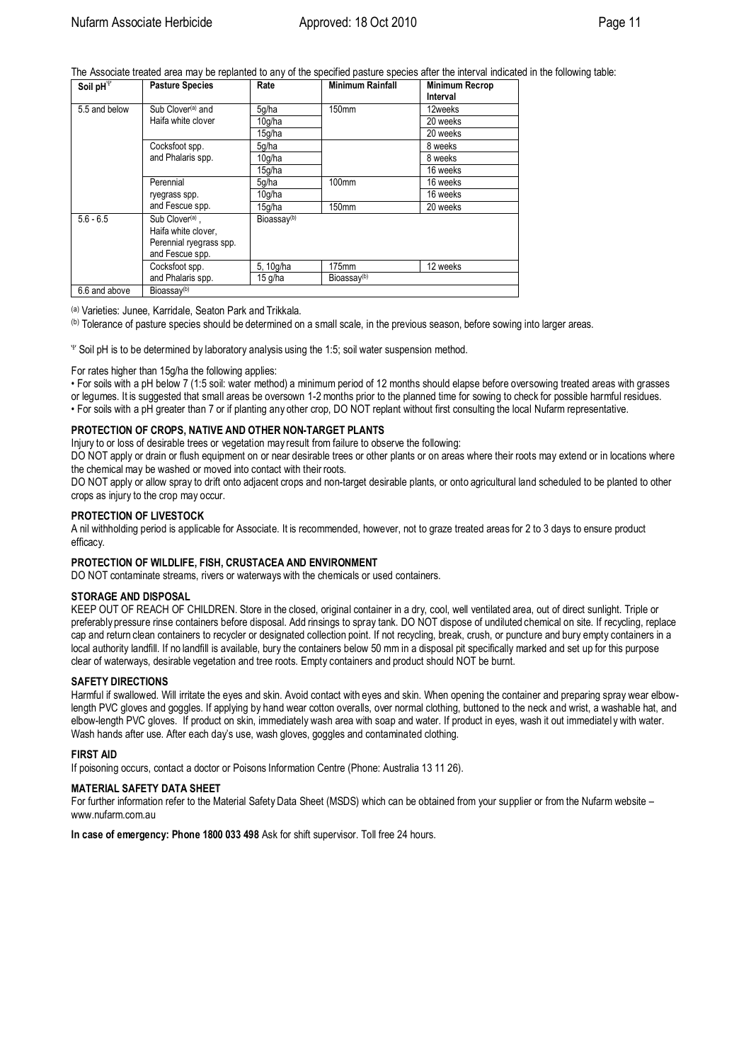The Associate treated area may be replanted to any of the specified pasture species after the interval indicated in the following table:<br>  $\sqrt{\frac{S_{\text{coll}}-H^{\gamma}}{S_{\text{coll}}-H^{\gamma}}}$ 

| Soil pH <sup>Y</sup> | <b>Pasture Species</b>                                                                           | Rate                    | <b>Minimum Rainfall</b> | <b>Minimum Recrop</b><br>Interval |
|----------------------|--------------------------------------------------------------------------------------------------|-------------------------|-------------------------|-----------------------------------|
| 5.5 and below        | Sub Clover <sup>(a)</sup> and                                                                    | 5q/ha                   | 150mm                   | 12weeks                           |
|                      | Haifa white clover                                                                               | 10g/ha                  |                         | 20 weeks                          |
|                      |                                                                                                  | 15q/ha                  |                         | 20 weeks                          |
|                      | Cocksfoot spp.                                                                                   | 5g/ha                   |                         | 8 weeks                           |
|                      | and Phalaris spp.                                                                                | 10q/ha                  |                         | 8 weeks                           |
|                      |                                                                                                  | 15g/ha                  |                         | 16 weeks                          |
|                      | Perennial                                                                                        | 5q/ha                   | 100mm                   | 16 weeks                          |
|                      | ryegrass spp.                                                                                    | 10q/ha                  |                         | 16 weeks                          |
|                      | and Fescue spp.                                                                                  | 15g/ha                  | 150mm                   | 20 weeks                          |
| $5.6 - 6.5$          | Sub Clover <sup>(a)</sup> ,<br>Haifa white clover,<br>Perennial ryegrass spp.<br>and Fescue spp. | Bioassay <sup>(b)</sup> |                         |                                   |
|                      | Cocksfoot spp.                                                                                   | 5, 10g/ha               | $175$ mm                | 12 weeks                          |
|                      | and Phalaris spp.                                                                                | $15$ g/ha               | Bioassay $(b)$          |                                   |
| 6.6 and above        | Bioassay <sup>(b)</sup>                                                                          |                         |                         |                                   |

(a) Varieties: Junee, Karridale, Seaton Park and Trikkala.

(b) Tolerance of pasture species should be determined on a small scale, in the previous season, before sowing into larger areas.

 $\mathbb {P}$  Soil pH is to be determined by laboratory analysis using the 1:5; soil water suspension method.

For rates higher than 15g/ha the following applies:

• For soils with a pH below 7 (1:5 soil: water method) a minimum period of 12 months should elapse before oversowing treated areas with grasses or legumes. It is suggested that small areas be oversown 1-2 months prior to the planned time for sowing to check for possible harmful residues. • For soils with a pH greater than 7 or if planting any other crop, DO NOT replant without first consulting the local Nufarm representative.

#### **PROTECTION OF CROPS, NATIVE AND OTHER NON-TARGET PLANTS**

Injury to or loss of desirable trees or vegetation may result from failure to observe the following:

DO NOT apply or drain or flush equipment on or near desirable trees or other plants or on areas where their roots may extend or in locations where the chemical may be washed or moved into contact with their roots.

DO NOT apply or allow spray to drift onto adjacent crops and non-target desirable plants, or onto agricultural land scheduled to be planted to other crops as injury to the crop may occur.

#### **PROTECTION OF LIVESTOCK**

A nil withholding period is applicable for Associate. It is recommended, however, not to graze treated areas for 2 to 3 days to ensure product efficacy.

#### **PROTECTION OF WILDLIFE, FISH, CRUSTACEA AND ENVIRONMENT**

DO NOT contaminate streams, rivers or waterways with the chemicals or used containers.

#### **STORAGE AND DISPOSAL**

KEEP OUT OF REACH OF CHILDREN. Store in the closed, original container in a dry, cool, well ventilated area, out of direct sunlight. Triple or preferably pressure rinse containers before disposal. Add rinsings to spray tank. DO NOT dispose of undiluted chemical on site. If recycling, replace cap and return clean containers to recycler or designated collection point. If not recycling, break, crush, or puncture and bury empty containers in a local authority landfill. If no landfill is available, bury the containers below 50 mm in a disposal pit specifically marked and set up for this purpose clear of waterways, desirable vegetation and tree roots. Empty containers and product should NOT be burnt.

### **SAFETY DIRECTIONS**

Harmful if swallowed. Will irritate the eyes and skin. Avoid contact with eyes and skin. When opening the container and preparing spray wear elbowlength PVC gloves and goggles. If applying by hand wear cotton overalls, over normal clothing, buttoned to the neck and wrist, a washable hat, and elbow-length PVC gloves. If product on skin, immediately wash area with soap and water. If product in eyes, wash it out immediatel y with water. Wash hands after use. After each day's use, wash gloves, goggles and contaminated clothing.

#### **FIRST AID**

If poisoning occurs, contact a doctor or Poisons Information Centre (Phone: Australia 13 11 26).

#### **MATERIAL SAFETY DATA SHEET**

For further information refer to the Material Safety Data Sheet (MSDS) which can be obtained from your supplier or from the Nufarm website www.nufarm.com.au

**In case of emergency: Phone 1800 033 498** Ask for shift supervisor. Toll free 24 hours.